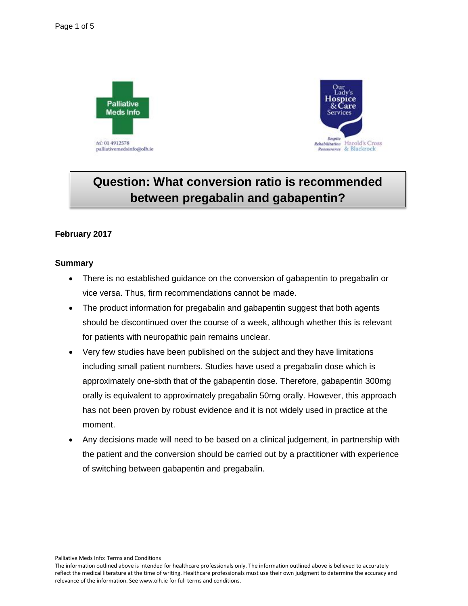



# **Question: What conversion ratio is recommended between pregabalin and gabapentin?**

### **February 2017**

#### **Summary**

- There is no established guidance on the conversion of gabapentin to pregabalin or vice versa. Thus, firm recommendations cannot be made.
- The product information for pregabalin and gabapentin suggest that both agents should be discontinued over the course of a week, although whether this is relevant for patients with neuropathic pain remains unclear.
- Very few studies have been published on the subject and they have limitations including small patient numbers. Studies have used a pregabalin dose which is approximately one-sixth that of the gabapentin dose. Therefore, gabapentin 300mg orally is equivalent to approximately pregabalin 50mg orally. However, this approach has not been proven by robust evidence and it is not widely used in practice at the moment.
- Any decisions made will need to be based on a clinical judgement, in partnership with the patient and the conversion should be carried out by a practitioner with experience of switching between gabapentin and pregabalin.

The information outlined above is intended for healthcare professionals only. The information outlined above is believed to accurately reflect the medical literature at the time of writing. Healthcare professionals must use their own judgment to determine the accuracy and relevance of the information. See www.olh.ie for full terms and conditions.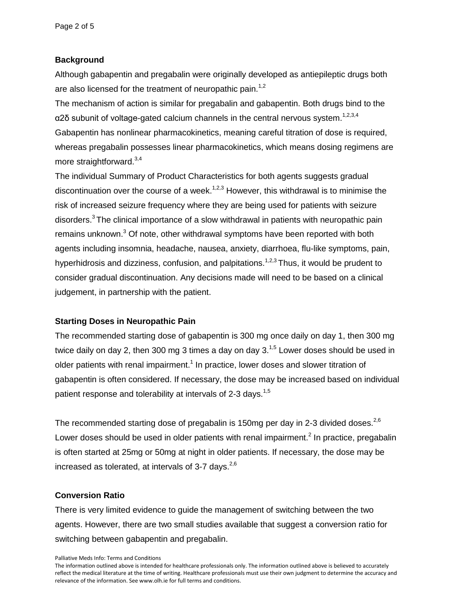### **Background**

Although gabapentin and pregabalin were originally developed as antiepileptic drugs both are also licensed for the treatment of neuropathic pain.<sup>1,2</sup>

The mechanism of action is similar for pregabalin and gabapentin. Both drugs bind to the α2δ subunit of voltage-gated calcium channels in the central nervous system.<sup>1,2,3,4</sup> Gabapentin has nonlinear pharmacokinetics, meaning careful titration of dose is required, whereas pregabalin possesses linear pharmacokinetics, which means dosing regimens are more straightforward.<sup>3,4</sup>

The individual Summary of Product Characteristics for both agents suggests gradual discontinuation over the course of a week.<sup>1,2,3</sup> However, this withdrawal is to minimise the risk of increased seizure frequency where they are being used for patients with seizure disorders. $3$  The clinical importance of a slow withdrawal in patients with neuropathic pain remains unknown.<sup>3</sup> Of note, other withdrawal symptoms have been reported with both agents including insomnia, headache, nausea, anxiety, diarrhoea, flu-like symptoms, pain, hyperhidrosis and dizziness, confusion, and palpitations.<sup>1,2,3</sup> Thus, it would be prudent to consider gradual discontinuation. Any decisions made will need to be based on a clinical judgement, in partnership with the patient.

### **Starting Doses in Neuropathic Pain**

The recommended starting dose of gabapentin is 300 mg once daily on day 1, then 300 mg twice daily on day 2, then 300 mg 3 times a day on day 3. $1,5$  Lower doses should be used in older patients with renal impairment.<sup>1</sup> In practice, lower doses and slower titration of gabapentin is often considered. If necessary, the dose may be increased based on individual patient response and tolerability at intervals of 2-3 days.<sup>1,5</sup>

The recommended starting dose of pregabalin is 150mg per day in 2-3 divided doses.<sup>2,6</sup> Lower doses should be used in older patients with renal impairment.<sup>2</sup> In practice, pregabalin is often started at 25mg or 50mg at night in older patients. If necessary, the dose may be increased as tolerated, at intervals of 3-7 days.  $2,6$ 

### **Conversion Ratio**

There is very limited evidence to guide the management of switching between the two agents. However, there are two small studies available that suggest a conversion ratio for switching between gabapentin and pregabalin.

Palliative Meds Info: Terms and Conditions

The information outlined above is intended for healthcare professionals only. The information outlined above is believed to accurately reflect the medical literature at the time of writing. Healthcare professionals must use their own judgment to determine the accuracy and relevance of the information. See www.olh.ie for full terms and conditions.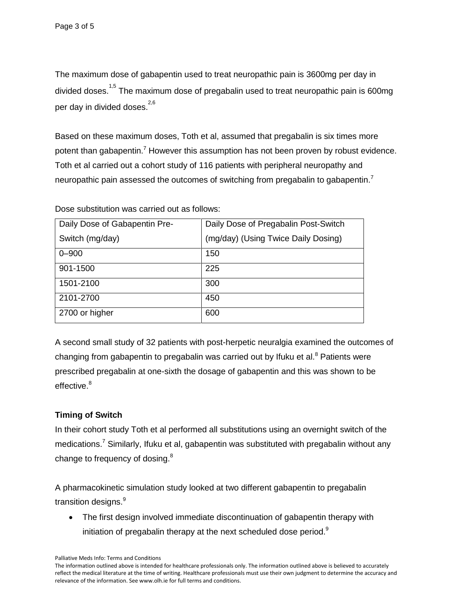The maximum dose of gabapentin used to treat neuropathic pain is 3600mg per day in divided doses.<sup>1,5</sup> The maximum dose of pregabalin used to treat neuropathic pain is 600mg per day in divided doses.  $^{2,6}$ 

Based on these maximum doses, Toth et al, assumed that pregabalin is six times more potent than gabapentin.<sup>7</sup> However this assumption has not been proven by robust evidence. Toth et al carried out a cohort study of 116 patients with peripheral neuropathy and neuropathic pain assessed the outcomes of switching from pregabalin to gabapentin.<sup>7</sup>

Dose substitution was carried out as follows:

| Daily Dose of Gabapentin Pre- | Daily Dose of Pregabalin Post-Switch |
|-------------------------------|--------------------------------------|
| Switch (mg/day)               | (mg/day) (Using Twice Daily Dosing)  |
| $0 - 900$                     | 150                                  |
| 901-1500                      | 225                                  |
| 1501-2100                     | 300                                  |
| 2101-2700                     | 450                                  |
| 2700 or higher                | 600                                  |

A second small study of 32 patients with post-herpetic neuralgia examined the outcomes of changing from gabapentin to pregabalin was carried out by Ifuku et al. $8$  Patients were prescribed pregabalin at one-sixth the dosage of gabapentin and this was shown to be effective.<sup>8</sup>

## **Timing of Switch**

In their cohort study Toth et al performed all substitutions using an overnight switch of the medications.<sup>7</sup> Similarly, Ifuku et al, gabapentin was substituted with pregabalin without any change to frequency of dosing.<sup>8</sup>

A pharmacokinetic simulation study looked at two different gabapentin to pregabalin transition designs.<sup>9</sup>

 The first design involved immediate discontinuation of gabapentin therapy with initiation of pregabalin therapy at the next scheduled dose period. $9$ 

The information outlined above is intended for healthcare professionals only. The information outlined above is believed to accurately reflect the medical literature at the time of writing. Healthcare professionals must use their own judgment to determine the accuracy and relevance of the information. See www.olh.ie for full terms and conditions.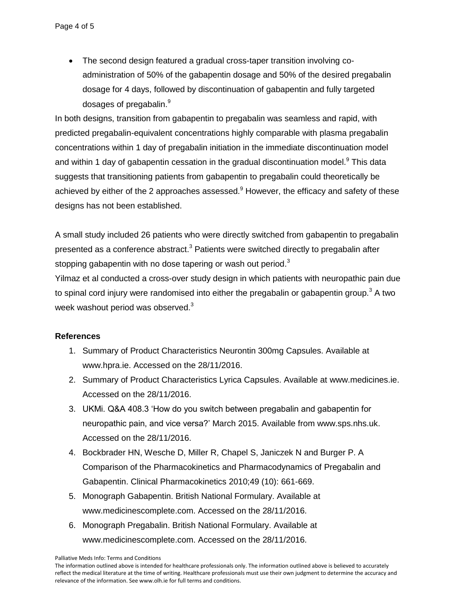• The second design featured a gradual cross-taper transition involving coadministration of 50% of the gabapentin dosage and 50% of the desired pregabalin dosage for 4 days, followed by discontinuation of gabapentin and fully targeted dosages of pregabalin.<sup>9</sup>

In both designs, transition from gabapentin to pregabalin was seamless and rapid, with predicted pregabalin-equivalent concentrations highly comparable with plasma pregabalin concentrations within 1 day of pregabalin initiation in the immediate discontinuation model and within 1 day of gabapentin cessation in the gradual discontinuation model. $9$  This data suggests that transitioning patients from gabapentin to pregabalin could theoretically be achieved by either of the 2 approaches assessed. $9$  However, the efficacy and safety of these designs has not been established.

A small study included 26 patients who were directly switched from gabapentin to pregabalin presented as a conference abstract. $3$  Patients were switched directly to pregabalin after stopping gabapentin with no dose tapering or wash out period.<sup>3</sup>

Yilmaz et al conducted a cross-over study design in which patients with neuropathic pain due to spinal cord injury were randomised into either the pregabalin or gabapentin group.<sup>3</sup> A two week washout period was observed. $^3$ 

### **References**

- 1. Summary of Product Characteristics Neurontin 300mg Capsules. Available at [www.hpra.ie.](http://www.hpra.ie/) Accessed on the 28/11/2016.
- 2. Summary of Product Characteristics Lyrica Capsules. Available at [www.medicines.ie.](http://www.medicines.ie/) Accessed on the 28/11/2016.
- 3. UKMi. Q&A 408.3 'How do you switch between pregabalin and gabapentin for neuropathic pain, and vice versa?' March 2015. Available from [www.sps.nhs.uk.](http://www.sps.nhs.uk/) Accessed on the 28/11/2016.
- 4. [Bockbrader HN,](http://www.ncbi.nlm.nih.gov/pubmed/?term=Bockbrader%20HN%5bAuthor%5d&cauthor=true&cauthor_uid=23018586) [Wesche D,](http://www.ncbi.nlm.nih.gov/pubmed/?term=Wesche%20DL%5bAuthor%5d&cauthor=true&cauthor_uid=23018586) Miller R, Chapel S, Janiczek N and Burger P. A Comparison of the Pharmacokinetics and Pharmacodynamics of Pregabalin and Gabapentin. Clinical Pharmacokinetics 2010;49 (10): 661-669.
- 5. Monograph Gabapentin. British National Formulary. Available at [www.medicinescomplete.com.](http://www.medicinescomplete.com/) Accessed on the 28/11/2016.
- 6. Monograph Pregabalin. British National Formulary. Available at [www.medicinescomplete.com.](http://www.medicinescomplete.com/) Accessed on the 28/11/2016.